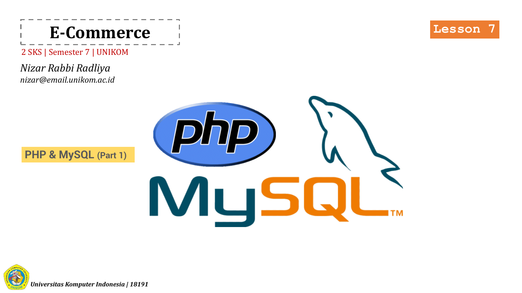

2 SKS | Semester 7 | UNIKOM

*Nizar Rabbi Radliya nizar@email.unikom.ac.id*





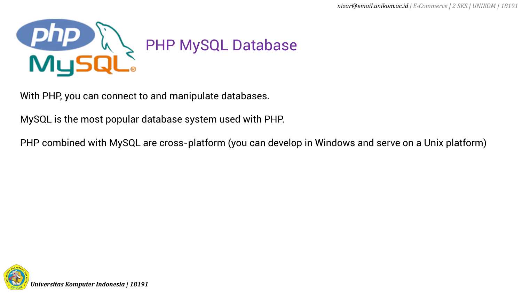

With PHP, you can connect to and manipulate databases.

MySQL is the most popular database system used with PHP.

PHP combined with MySQL are cross-platform (you can develop in Windows and serve on a Unix platform)

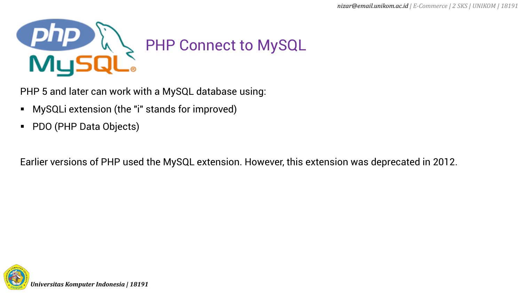

PHP 5 and later can work with a MySQL database using:

- MySQLi extension (the "i" stands for improved)
- PDO (PHP Data Objects)

Earlier versions of PHP used the MySQL extension. However, this extension was deprecated in 2012.

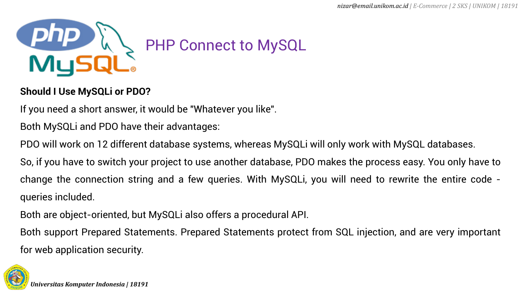

## **Should I Use MySQLi or PDO?**

If you need a short answer, it would be "Whatever you like".

Both MySQLi and PDO have their advantages:

PDO will work on 12 different database systems, whereas MySQLi will only work with MySQL databases.

So, if you have to switch your project to use another database, PDO makes the process easy. You only have to change the connection string and a few queries. With MySQLi, you will need to rewrite the entire code queries included.

Both are object-oriented, but MySQLi also offers a procedural API.

Both support Prepared Statements. Prepared Statements protect from SQL injection, and are very important for web application security.

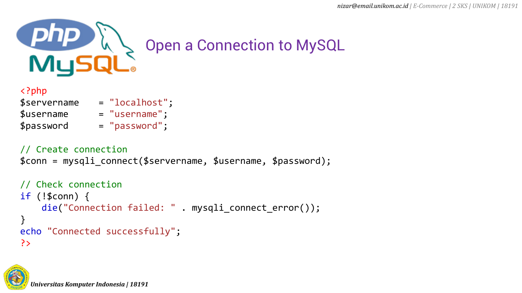

## <?php \$servername = "localhost";  $$$ username  $=$  "username";  $$password = "password";$

// Create connection \$conn = mysqli\_connect(\$servername, \$username, \$password);

```
// Check connection
if (!$conn) {
    die("Connection failed: " . mysqli_connect_error());
}
echo "Connected successfully";
?>
```
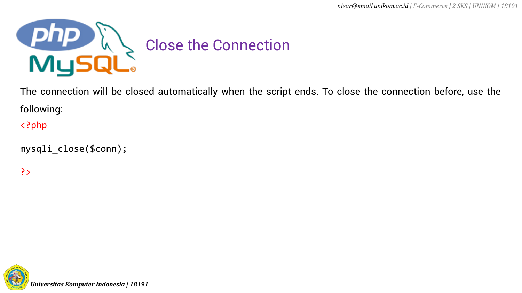

The connection will be closed automatically when the script ends. To close the connection before, use the following:

<?php

```
mysqli_close($conn);
```
?>

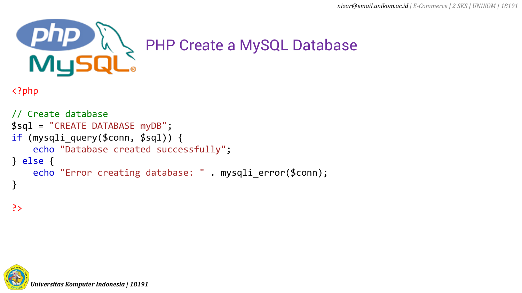

```
<?php
```

```
// Create database
$sql = "CREATE DATABASE myDB";
if (mysqli_query($conn, $sql)) {
    echo "Database created successfully";
} else {
    echo "Error creating database: " . mysqli_error($conn);
}
```
?>

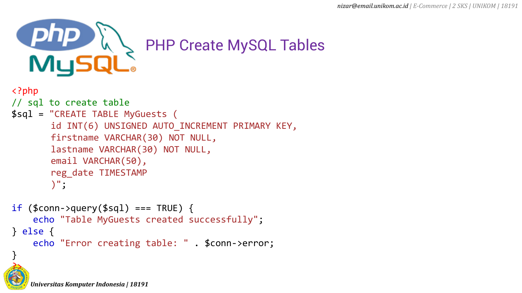

```
<?php
// sql to create table
$sql = "CREATE TABLE MyGuests (
       id INT(6) UNSIGNED AUTO_INCREMENT PRIMARY KEY, 
       firstname VARCHAR(30) NOT NULL,
       lastname VARCHAR(30) NOT NULL,
       email VARCHAR(50),
       reg_date TIMESTAMP
       )";
```

```
if ( $conn->query ($sq1) == TRUE ) {
    echo "Table MyGuests created successfully";
} else {
    echo "Error creating table: " . $conn->error;
}
OMPUT
```
*Universitas Komputer Indonesia | 18191*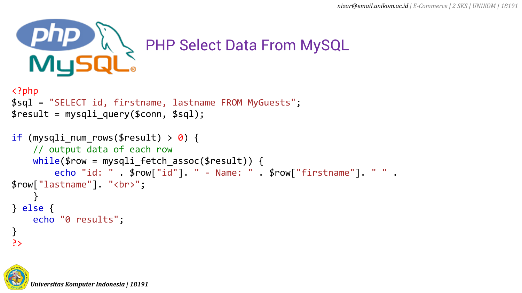

```
<?php
$sql = "SELECT id, firstname, lastname FROM MyGuests";
$result = mysqli_query($conn, $sql);
```

```
if (mysqli_num_rows($result) > \theta) {
    // output data of each row
    while($row = mysqli_fetch_assoc($result)) {
        echo "id: " . $row["id"]. " - Name: " . $row["firstname"]. " " . 
$row["lastname"]. "<br>";
    }
} else {
    echo "0 results";
}
?>
```